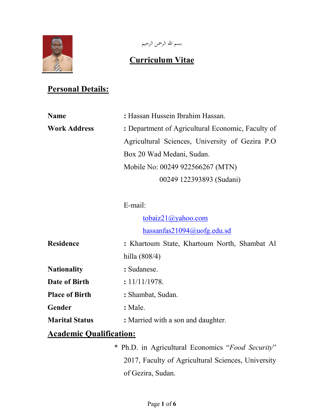

بسم الله الرحمن الرحيم

# Curriculum Vitae

# **Personal Details:**

| <b>Name</b>         | : Hassan Hussein Ibrahim Hassan.                  |
|---------------------|---------------------------------------------------|
| <b>Work Address</b> | : Department of Agricultural Economic, Faculty of |
|                     | Agricultural Sciences, University of Gezira P.O.  |
|                     | Box 20 Wad Medani, Sudan.                         |
|                     | Mobile No: 00249 922566267 (MTN)                  |
|                     | 00249 122393893 (Sudani)                          |

### E-mail:

tobaiz21@yahoo.com hassanfas21094@uofg.edu.sd

| <b>Residence</b>      | : Khartoum State, Khartoum North, Shambat Al |
|-----------------------|----------------------------------------------|
|                       | hilla $(808/4)$                              |
| <b>Nationality</b>    | : Sudanese.                                  |
| Date of Birth         | : 11/11/1978.                                |
| <b>Place of Birth</b> | : Shambat, Sudan.                            |
| Gender                | $:$ Male.                                    |
| <b>Marital Status</b> | : Married with a son and daughter.           |
|                       |                                              |

# Academic Qualification:

\* Ph.D. in Agricultural Economics "Food Security" 2017, Faculty of Agricultural Sciences, University of Gezira, Sudan.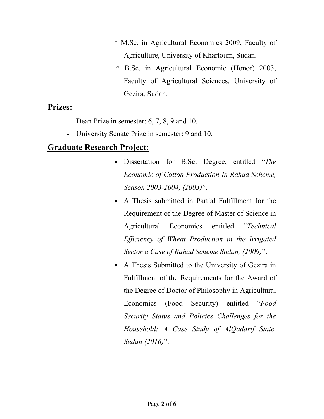- \* M.Sc. in Agricultural Economics 2009, Faculty of Agriculture, University of Khartoum, Sudan.
- \* B.Sc. in Agricultural Economic (Honor) 2003, Faculty of Agricultural Sciences, University of Gezira, Sudan.

#### Prizes:

- Dean Prize in semester: 6, 7, 8, 9 and 10.
- University Senate Prize in semester: 9 and 10.

## Graduate Research Project:

- Dissertation for B.Sc. Degree, entitled "The Economic of Cotton Production In Rahad Scheme, Season 2003-2004, (2003)".
- A Thesis submitted in Partial Fulfillment for the Requirement of the Degree of Master of Science in Agricultural Economics entitled "Technical Efficiency of Wheat Production in the Irrigated Sector a Case of Rahad Scheme Sudan, (2009)".
- A Thesis Submitted to the University of Gezira in Fulfillment of the Requirements for the Award of the Degree of Doctor of Philosophy in Agricultural Economics (Food Security) entitled "Food Security Status and Policies Challenges for the Household: A Case Study of AlQadarif State, Sudan (2016)".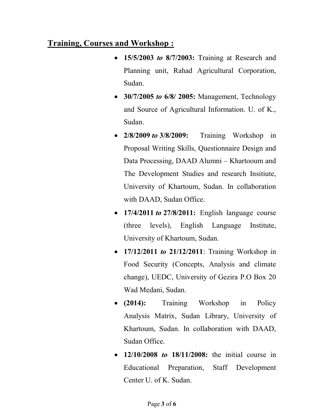# Training, Courses and Workshop :

- 15/5/2003 to 8/7/2003: Training at Research and Planning unit, Rahad Agricultural Corporation, Sudan.
- 30/7/2005 to 6/8/ 2005: Management, Technology and Source of Agricultural Information. U. of K., Sudan.
- 2/8/2009 to 3/8/2009: Training Workshop in Proposal Writing Skills, Questionnaire Design and Data Processing, DAAD Alumni – Khartooum and The Development Studies and research Insitiute, University of Khartoum, Sudan. In collaboration with DAAD, Sudan Office.
- $\bullet$  17/4/2011 to 27/8/2011: English language course (three levels), English Language Institute, University of Khartoum, Sudan.
- 17/12/2011 *to* 21/12/2011: Training Workshop in Food Security (Concepts, Analysis and climate change), UEDC, University of Gezira P.O Box 20 Wad Medani, Sudan.
- (2014): Training Workshop in Policy Analysis Matrix, Sudan Library, University of Khartoum, Sudan. In collaboration with DAAD, Sudan Office.
- $12/10/2008$  to  $18/11/2008$ ; the initial course in Educational Preparation, Staff Development Center U. of K. Sudan.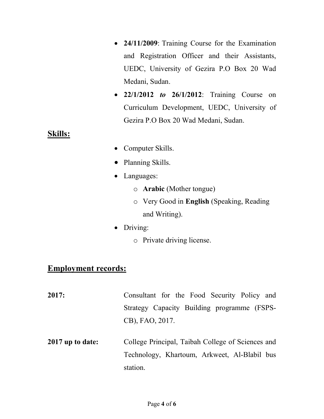- 24/11/2009: Training Course for the Examination and Registration Officer and their Assistants, UEDC, University of Gezira P.O Box 20 Wad Medani, Sudan.
- $\bullet$  22/1/2012 to 26/1/2012: Training Course on Curriculum Development, UEDC, University of Gezira P.O Box 20 Wad Medani, Sudan.

#### Skills:

- Computer Skills.
- Planning Skills.
- Languages:
	- o Arabic (Mother tongue)
	- o Very Good in English (Speaking, Reading and Writing).
- Driving:
	- o Private driving license.

## Employment records:

- 2017: Consultant for the Food Security Policy and Strategy Capacity Building programme (FSPS-CB), FAO, 2017.
- 2017 up to date: College Principal, Taibah College of Sciences and Technology, Khartoum, Arkweet, Al-Blabil bus station.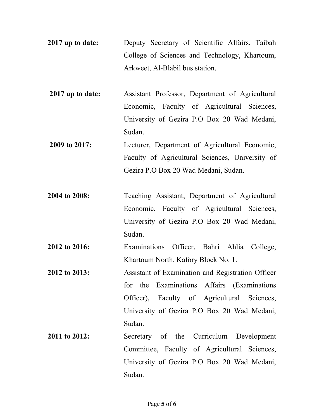- 2017 up to date: Deputy Secretary of Scientific Affairs, Taibah College of Sciences and Technology, Khartoum, Arkweet, Al-Blabil bus station.
- 2017 up to date: Assistant Professor, Department of Agricultural Economic, Faculty of Agricultural Sciences, University of Gezira P.O Box 20 Wad Medani, Sudan.
- 2009 to 2017: Lecturer, Department of Agricultural Economic, Faculty of Agricultural Sciences, University of Gezira P.O Box 20 Wad Medani, Sudan.
- 2004 to 2008: Teaching Assistant, Department of Agricultural Economic, Faculty of Agricultural Sciences, University of Gezira P.O Box 20 Wad Medani, Sudan.
- 2012 to 2016: Examinations Officer, Bahri Ahlia College, Khartoum North, Kafory Block No. 1.
- 2012 to 2013: Assistant of Examination and Registration Officer for the Examinations Affairs (Examinations Officer), Faculty of Agricultural Sciences, University of Gezira P.O Box 20 Wad Medani, Sudan.
- 2011 to 2012: Secretary of the Curriculum Development Committee, Faculty of Agricultural Sciences, University of Gezira P.O Box 20 Wad Medani, Sudan.